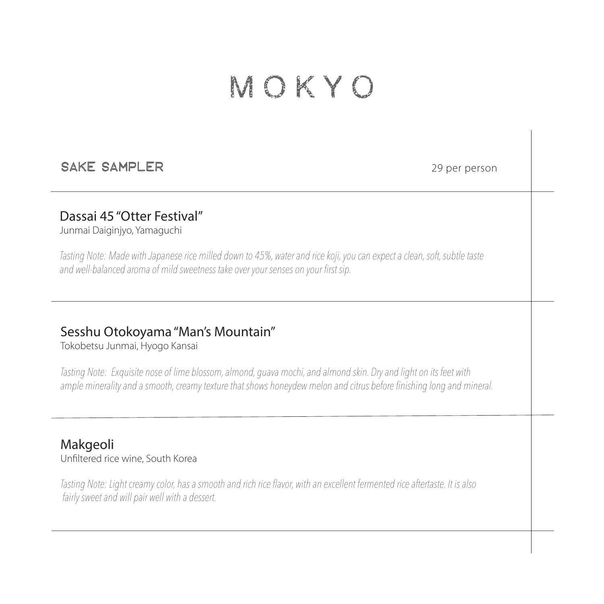# MOKYO

#### SAke sampler

29 per person

### Dassai 45 "Otter Festival"

Junmai Daiginjyo, Yamaguchi

*Tasting Note: Made with Japanese rice milled down to 45%, water and rice koji, you can expect a clean, soft, subtle taste and well-balanced aroma of mild sweetness take over your senses on your first sip.*

## Sesshu Otokoyama "Man's Mountain"

Tokobetsu Junmai, Hyogo Kansai

*Tasting Note: Exquisite nose of lime blossom, almond, guava mochi, and almond skin. Dry and light on its feet with ample minerality and a smooth, creamy texture that shows honeydew melon and citrus before finishing long and mineral.*

#### Makgeoli Unfiltered rice wine, South Korea

*Tasting Note: Light creamy color, has a smooth and rich rice flavor, with an excellent fermented rice aftertaste. It is also fairly sweet and will pair well with a dessert.*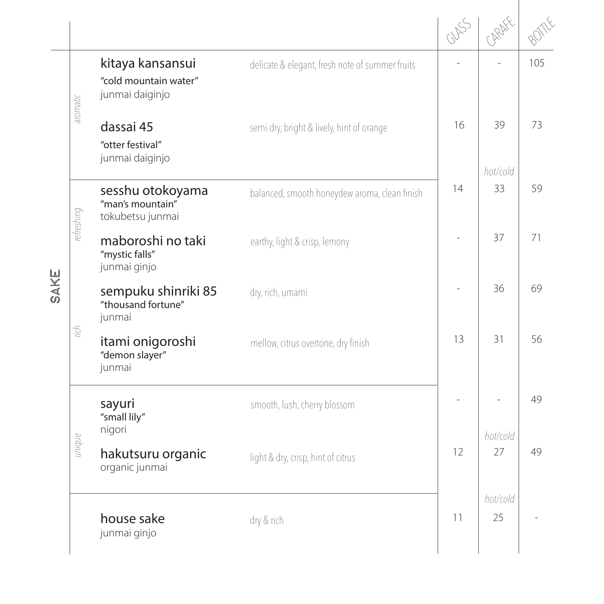|            |                                                              |                                                 | GUSS | ARAFE          |     |
|------------|--------------------------------------------------------------|-------------------------------------------------|------|----------------|-----|
| aromatic   | kitaya kansansui<br>"cold mountain water"<br>junmai daiginjo | delicate & elegant, fresh note of summer fruits |      |                | 105 |
|            | dassai 45<br>"otter festival"<br>junmai daiginjo             | semi dry, bright & lively, hint of orange       | 16   | 39<br>hot/cold | 73  |
| refreshing | sesshu otokoyama<br>"man's mountain"<br>tokubetsu junmai     | balanced, smooth honeydew aroma, clean finish   | 14   | 33             | 59  |
|            | maboroshi no taki<br>"mystic falls"<br>junmai ginjo          | earthy, light & crisp, lemony                   |      | 37             | 71  |
|            | sempuku shinriki 85<br>"thousand fortune"<br>junmai          | dry, rich, umami                                |      | 36             | 69  |
| rich       | itami onigoroshi<br>"demon slayer"<br>junmai                 | mellow, citrus overtone, dry finish             | 13   | 31             | 56  |
| unique     | sayuri<br>"small lily"<br>nigori                             | smooth, lush, cherry blossom                    |      |                | 49  |
|            | hakutsuru organic<br>organic junmai                          | light & dry, crisp, hint of citrus              | 12   | hot/cold<br>27 | 49  |
|            | house sake<br>junmai ginjo                                   | dry & rich                                      | 11   | hot/cold<br>25 |     |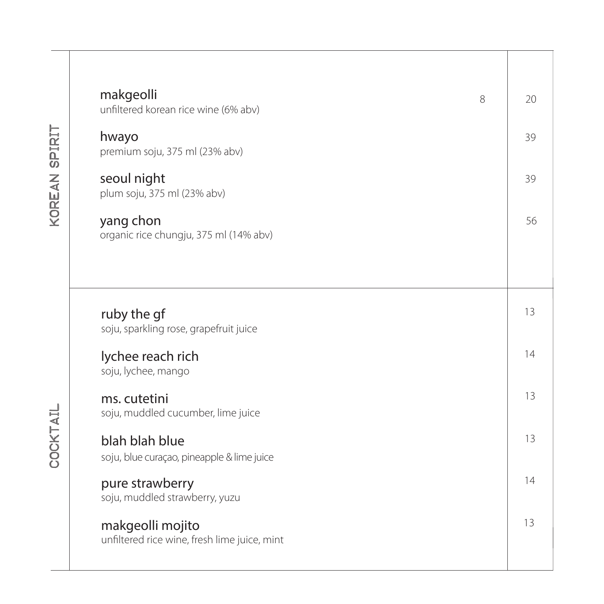| makgeolli<br>unfiltered korean rice wine (6% abv)                | 8 |
|------------------------------------------------------------------|---|
| hwayo<br>premium soju, 375 ml (23% abv)                          |   |
| seoul night<br>plum soju, 375 ml (23% abv)                       |   |
| yang chon<br>organic rice chungju, 375 ml (14% abv)              |   |
|                                                                  |   |
| ruby the gf<br>soju, sparkling rose, grapefruit juice            |   |
| lychee reach rich<br>soju, lychee, mango                         |   |
| ms. cutetini<br>soju, muddled cucumber, lime juice               |   |
| blah blah blue<br>soju, blue curação, pineapple & lime juice     |   |
| pure strawberry<br>soju, muddled strawberry, yuzu                |   |
| makgeolli mojito<br>unfiltered rice wine, fresh lime juice, mint |   |
|                                                                  |   |

KOREAN SPIRIT korean spirit

**COCKTAIL** cocktail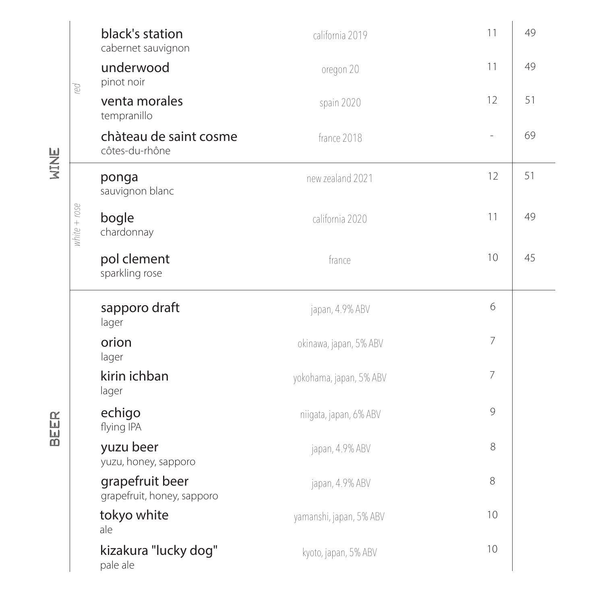| B            | black's station<br>cabernet sauvignon         | california 2019         | 11             | 49 |
|--------------|-----------------------------------------------|-------------------------|----------------|----|
|              | underwood<br>pinot noir                       | oregon 20               | 11             | 49 |
|              | venta morales<br>tempranillo                  | spain 2020              | 12             | 51 |
|              | chàteau de saint cosme<br>côtes-du-rhône      | france 2018             | $\overline{a}$ | 69 |
| white + rose | ponga<br>sauvignon blanc                      | new zealand 2021        | 12             | 51 |
|              | bogle<br>chardonnay                           | california 2020         | 11             | 49 |
|              | pol clement<br>sparkling rose                 | france                  | 10             | 45 |
|              | sapporo draft<br>lager                        | japan, 4.9% ABV         | 6              |    |
|              | orion<br>lager                                | okinawa, japan, 5% ABV  | $\overline{7}$ |    |
|              | kirin ichban<br>lager                         | yokohama, japan, 5% ABV | $\overline{7}$ |    |
|              | echigo<br>flying IPA                          | niigata, japan, 6% ABV  | 9              |    |
|              | yuzu beer<br>yuzu, honey, sapporo             | japan, 4.9% ABV         | 8              |    |
|              | grapefruit beer<br>grapefruit, honey, sapporo | japan, 4.9% ABV         | 8              |    |
|              | tokyo white<br>ale                            | yamanshi, japan, 5% ABV | 10             |    |
|              | kizakura "lucky dog"<br>pale ale              | kyoto, japan, 5% ABV    | 10             |    |

beer wine

**BEER** 

WINE